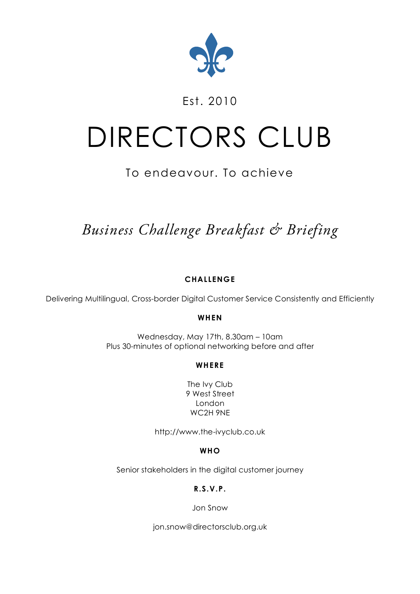

### Est. 2010

# DIRECTORS CLUB

## To endeavour. To achieve

# *Business Challenge Breakfast & Briefing*

#### **CHALLENGE**

Delivering Multilingual, Cross-border Digital Customer Service Consistently and Efficiently

#### **WHEN**

Wednesday, May 17th, 8.30am – 10am Plus 30-minutes of optional networking before and after

#### **WHERE**

The Ivy Club 9 West Street London WC2H 9NE

http://www.the-ivyclub.co.uk

#### **WHO**

Senior stakeholders in the digital customer journey

#### **R.S.V.P.**

Jon Snow

jon.snow@directorsclub.org.uk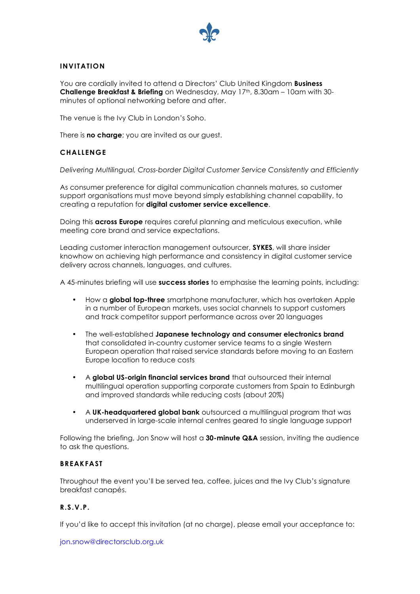

#### **INVITATION**

You are cordially invited to attend a Directors' Club United Kingdom **Business Challenge Breakfast & Briefing** on Wednesday, May 17th, 8.30am – 10am with 30 minutes of optional networking before and after.

The venue is the Ivy Club in London's Soho.

There is **no charge**; you are invited as our guest.

#### **CHALLENGE**

*Delivering Multilingual, Cross-border Digital Customer Service Consistently and Efficiently*

As consumer preference for digital communication channels matures, so customer support organisations must move beyond simply establishing channel capability, to creating a reputation for **digital customer service excellence**.

Doing this **across Europe** requires careful planning and meticulous execution, while meeting core brand and service expectations.

Leading customer interaction management outsourcer, **SYKES**, will share insider knowhow on achieving high performance and consistency in digital customer service delivery across channels, languages, and cultures.

A 45-minutes briefing will use **success stories** to emphasise the learning points, including:

- How a **global top-three** smartphone manufacturer, which has overtaken Apple in a number of European markets, uses social channels to support customers and track competitor support performance across over 20 languages
- The well-established **Japanese technology and consumer electronics brand** that consolidated in-country customer service teams to a single Western European operation that raised service standards before moving to an Eastern Europe location to reduce costs
- A **global US-origin financial services brand** that outsourced their internal multilingual operation supporting corporate customers from Spain to Edinburgh and improved standards while reducing costs (about 20%)
- A **UK-headquartered global bank** outsourced a multilingual program that was underserved in large-scale internal centres geared to single language support

Following the briefing, Jon Snow will host a **30-minute Q&A** session, inviting the audience to ask the questions.

#### **BREAKFAST**

Throughout the event you'll be served tea, coffee, juices and the Ivy Club's signature breakfast canapés.

#### **R.S.V.P.**

If you'd like to accept this invitation (at no charge), please email your acceptance to:

jon.snow@directorsclub.org.uk